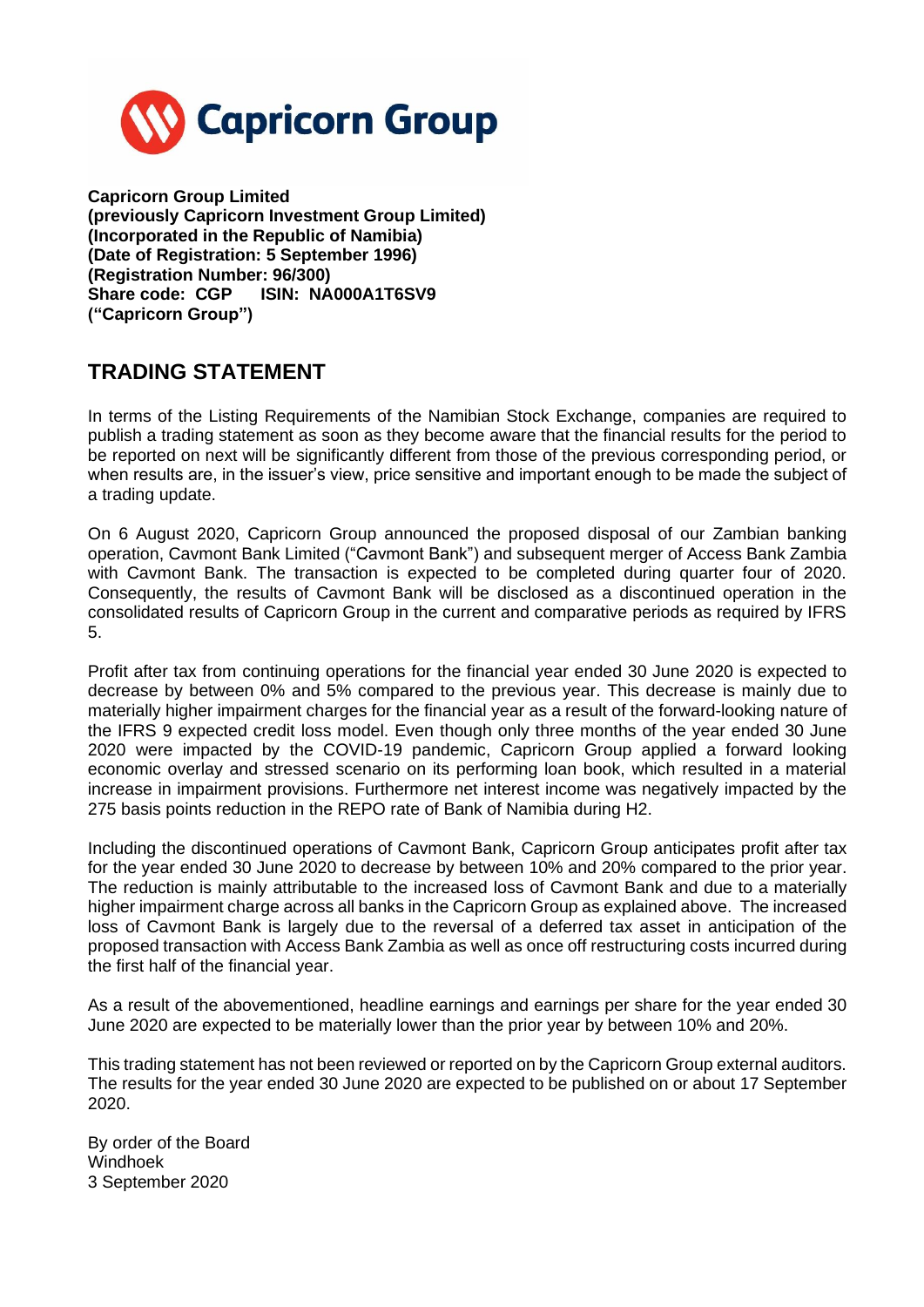

**Capricorn Group Limited (previously Capricorn Investment Group Limited) (Incorporated in the Republic of Namibia) (Date of Registration: 5 September 1996) (Registration Number: 96/300) Share code: CGP ISIN: NA000A1T6SV9 ("Capricorn Group")**

## **TRADING STATEMENT**

In terms of the Listing Requirements of the Namibian Stock Exchange, companies are required to publish a trading statement as soon as they become aware that the financial results for the period to be reported on next will be significantly different from those of the previous corresponding period, or when results are, in the issuer's view, price sensitive and important enough to be made the subject of a trading update.

On 6 August 2020, Capricorn Group announced the proposed disposal of our Zambian banking operation, Cavmont Bank Limited ("Cavmont Bank") and subsequent merger of Access Bank Zambia with Cavmont Bank. The transaction is expected to be completed during quarter four of 2020. Consequently, the results of Cavmont Bank will be disclosed as a discontinued operation in the consolidated results of Capricorn Group in the current and comparative periods as required by IFRS 5.

Profit after tax from continuing operations for the financial year ended 30 June 2020 is expected to decrease by between 0% and 5% compared to the previous year. This decrease is mainly due to materially higher impairment charges for the financial year as a result of the forward-looking nature of the IFRS 9 expected credit loss model. Even though only three months of the year ended 30 June 2020 were impacted by the COVID-19 pandemic, Capricorn Group applied a forward looking economic overlay and stressed scenario on its performing loan book, which resulted in a material increase in impairment provisions. Furthermore net interest income was negatively impacted by the 275 basis points reduction in the REPO rate of Bank of Namibia during H2.

Including the discontinued operations of Cavmont Bank, Capricorn Group anticipates profit after tax for the year ended 30 June 2020 to decrease by between 10% and 20% compared to the prior year. The reduction is mainly attributable to the increased loss of Cavmont Bank and due to a materially higher impairment charge across all banks in the Capricorn Group as explained above. The increased loss of Cavmont Bank is largely due to the reversal of a deferred tax asset in anticipation of the proposed transaction with Access Bank Zambia as well as once off restructuring costs incurred during the first half of the financial year.

As a result of the abovementioned, headline earnings and earnings per share for the year ended 30 June 2020 are expected to be materially lower than the prior year by between 10% and 20%.

This trading statement has not been reviewed or reported on by the Capricorn Group external auditors. The results for the year ended 30 June 2020 are expected to be published on or about 17 September 2020.

By order of the Board Windhoek 3 September 2020